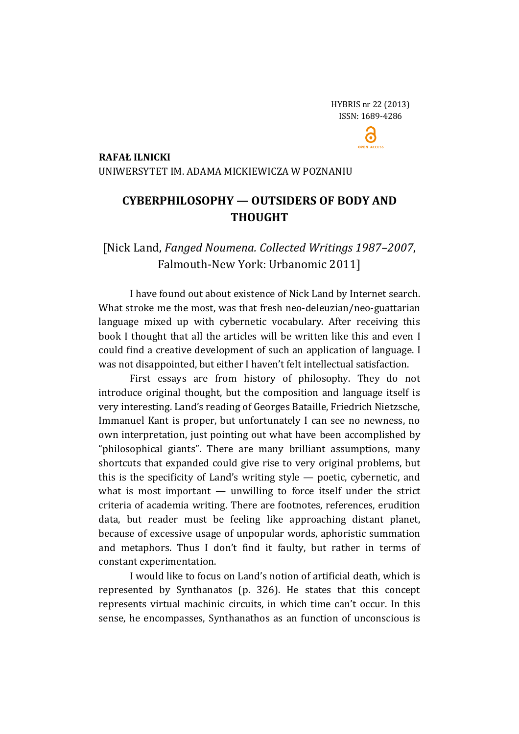$\ddot{\mathbf{c}}$ 

### **RAFAŁ ILNICKI**

UNIWERSYTET IM. ADAMA MICKIEWICZA W POZNANIU

# **CYBERPHILOSOPHY — OUTSIDERS OF BODY AND THOUGHT**

## [Nick Land, *Fanged Noumena. Collected Writings 1987–2007*, Falmouth-New York: Urbanomic 2011]

I have found out about existence of Nick Land by Internet search. What stroke me the most, was that fresh neo-deleuzian/neo-guattarian language mixed up with cybernetic vocabulary. After receiving this book I thought that all the articles will be written like this and even I could find a creative development of such an application of language. I was not disappointed, but either I haven't felt intellectual satisfaction.

First essays are from history of philosophy. They do not introduce original thought, but the composition and language itself is very interesting. Land's reading of Georges Bataille, Friedrich Nietzsche, Immanuel Kant is proper, but unfortunately I can see no newness, no own interpretation, just pointing out what have been accomplished by "philosophical giants". There are many brilliant assumptions, many shortcuts that expanded could give rise to very original problems, but this is the specificity of Land's writing style — poetic, cybernetic, and what is most important — unwilling to force itself under the strict criteria of academia writing. There are footnotes, references, erudition data, but reader must be feeling like approaching distant planet, because of excessive usage of unpopular words, aphoristic summation and metaphors. Thus I don't find it faulty, but rather in terms of constant experimentation.

I would like to focus on Land's notion of artificial death, which is represented by Synthanatos (p. 326). He states that this concept represents virtual machinic circuits, in which time can't occur. In this sense, he encompasses, Synthanathos as an function of unconscious is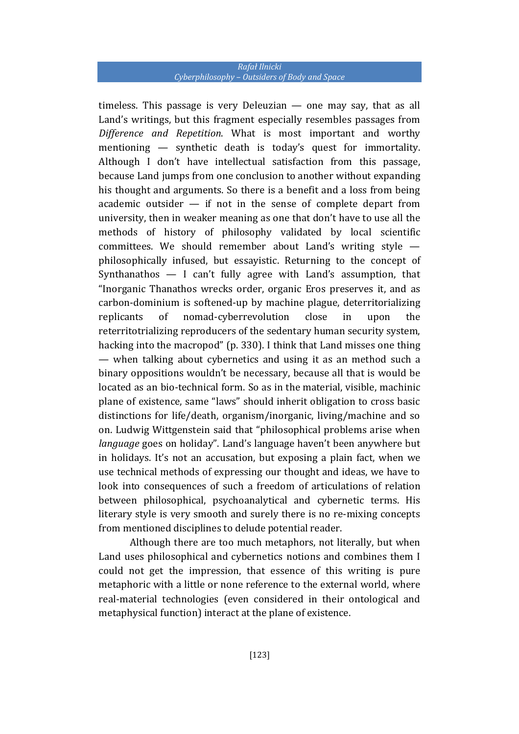### *Rafał Ilnicki Cyberphilosophy – Outsiders of Body and Space*

timeless. This passage is very Deleuzian — one may say, that as all Land's writings, but this fragment especially resembles passages from *Difference and Repetition*. What is most important and worthy mentioning — synthetic death is today's quest for immortality. Although I don't have intellectual satisfaction from this passage, because Land jumps from one conclusion to another without expanding his thought and arguments. So there is a benefit and a loss from being academic outsider  $-$  if not in the sense of complete depart from university, then in weaker meaning as one that don't have to use all the methods of history of philosophy validated by local scientific committees. We should remember about Land's writing style philosophically infused, but essayistic. Returning to the concept of Synthanathos  $-$  I can't fully agree with Land's assumption, that "Inorganic Thanathos wrecks order, organic Eros preserves it, and as carbon-dominium is softened-up by machine plague, deterritorializing replicants of nomad-cyberrevolution close in upon the reterritotrializing reproducers of the sedentary human security system, hacking into the macropod" (p. 330). I think that Land misses one thing — when talking about cybernetics and using it as an method such a binary oppositions wouldn't be necessary, because all that is would be located as an bio-technical form. So as in the material, visible, machinic plane of existence, same "laws" should inherit obligation to cross basic distinctions for life/death, organism/inorganic, living/machine and so on. Ludwig Wittgenstein said that "philosophical problems arise when *language* goes on holiday". Land's language haven't been anywhere but in holidays. It's not an accusation, but exposing a plain fact, when we use technical methods of expressing our thought and ideas, we have to look into consequences of such a freedom of articulations of relation between philosophical, psychoanalytical and cybernetic terms. His literary style is very smooth and surely there is no re-mixing concepts from mentioned disciplines to delude potential reader.

Although there are too much metaphors, not literally, but when Land uses philosophical and cybernetics notions and combines them I could not get the impression, that essence of this writing is pure metaphoric with a little or none reference to the external world, where real-material technologies (even considered in their ontological and metaphysical function) interact at the plane of existence.